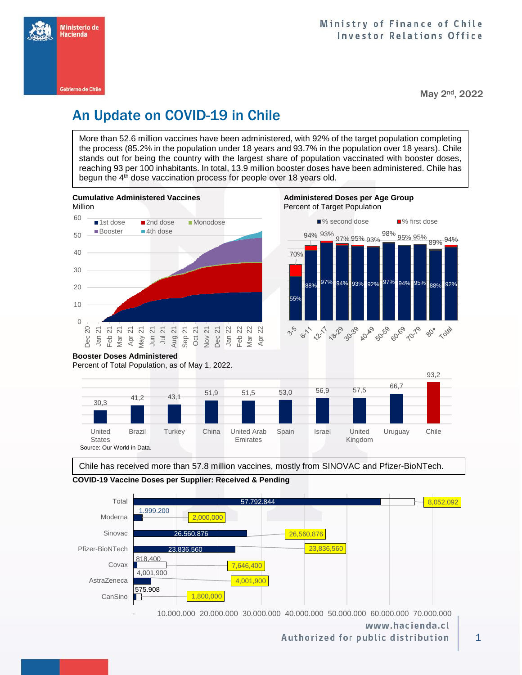

May 2nd, 2022

## An Update on COVID-19 in Chile

More than 52.6 million vaccines have been administered, with 92% of the target population completing the process (85.2% in the population under 18 years and 93.7% in the population over 18 years). Chile stands out for being the country with the largest share of population vaccinated with booster doses, reaching 93 per 100 inhabitants. In total, 13.9 million booster doses have been administered. Chile has begun the 4<sup>th</sup> dose vaccination process for people over 18 years old.





Chile has received more than 57.8 million vaccines, mostly from SINOVAC and Pfizer-BioNTech.



**COVID-19 Vaccine Doses per Supplier: Received & Pending**

Source: Our World in Data.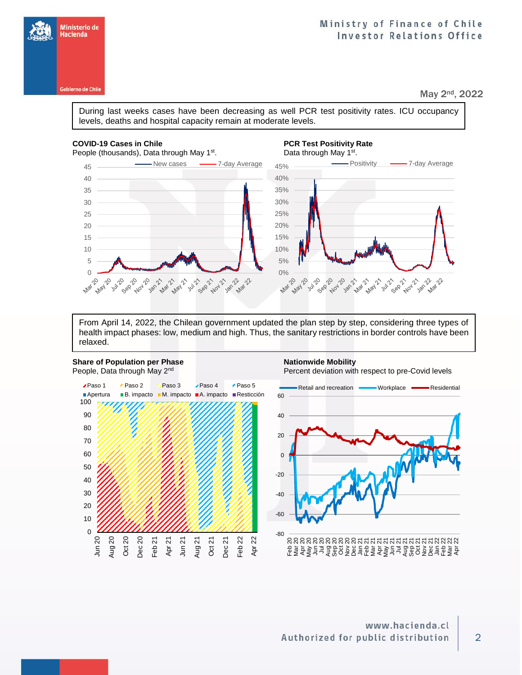**Gobierno de Chile** 

#### Ministry of Finance of Chile **Investor Relations Office**

May 2nd, 2022

During last weeks cases have been decreasing as well PCR test positivity rates. ICU occupancy levels, deaths and hospital capacity remain at moderate levels.

#### **COVID-19 Cases in Chile PCR Test Positivity Rate PCR Test Positivity Rate**

**Mar 20** 

People (thousands), Data through May 1<sup>st</sup>

## **Data through May 1st.**



From April 14, 2022, the Chilean government updated the plan step by step, considering three types of health impact phases: low, medium and high. Thus, the sanitary restrictions in border controls have been relaxed.



**989.20** Aloy 10

**18m21** 

**Mai 11** 

May , 20.

a<sub>vin</sub>e

∩

**ABY** 

Percent deviation with respect to pre-Covid levels



**58821**